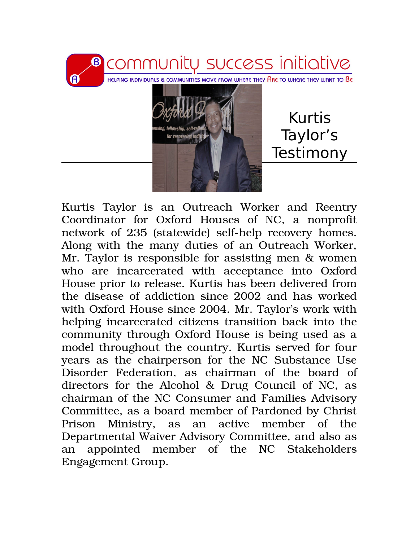

Kurtis Taylor is an Outreach Worker and Reentry Coordinator for Oxford Houses of NC, a nonprofit network of 235 (statewide) self-help recovery homes. Along with the many duties of an Outreach Worker, Mr. Taylor is responsible for assisting men & women who are incarcerated with acceptance into Oxford House prior to release. Kurtis has been delivered from the disease of addiction since 2002 and has worked with Oxford House since 2004. Mr. Taylor's work with helping incarcerated citizens transition back into the community through Oxford House is being used as a model throughout the country. Kurtis served for four years as the chairperson for the NC Substance Use Disorder Federation, as chairman of the board of directors for the Alcohol & Drug Council of NC, as chairman of the NC Consumer and Families Advisory Committee, as a board member of Pardoned by Christ Prison Ministry, as an active member of the Departmental Waiver Advisory Committee, and also as an appointed member of the NC Stakeholders Engagement Group.